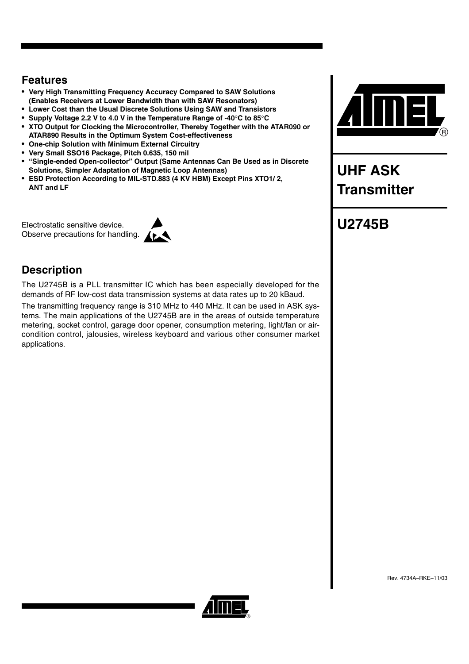## **Features**

- **Very High Transmitting Frequency Accuracy Compared to SAW Solutions (Enables Receivers at Lower Bandwidth than with SAW Resonators)**
- **Lower Cost than the Usual Discrete Solutions Using SAW and Transistors**
- **Supply Voltage 2.2 V to 4.0 V in the Temperature Range of -40C to 85C**
- **XTO Output for Clocking the Microcontroller, Thereby Together with the ATAR090 or ATAR890 Results in the Optimum System Cost-effectiveness**
- **One-chip Solution with Minimum External Circuitry**
- **Very Small SSO16 Package, Pitch 0.635, 150 mil**
- **"Single-ended Open-collector" Output (Same Antennas Can Be Used as in Discrete Solutions, Simpler Adaptation of Magnetic Loop Antennas)**
- **ESD Protection According to MIL-STD.883 (4 KV HBM) Except Pins XTO1/ 2, ANT and LF**

Electrostatic sensitive device. Observe precautions for handling.



# **Description**

The U2745B is a PLL transmitter IC which has been especially developed for the demands of RF low-cost data transmission systems at data rates up to 20 kBaud.

The transmitting frequency range is 310 MHz to 440 MHz. It can be used in ASK systems. The main applications of the U2745B are in the areas of outside temperature metering, socket control, garage door opener, consumption metering, light/fan or aircondition control, jalousies, wireless keyboard and various other consumer market applications.



**UHF ASK Transmitter** 

# **U2745B**

Rev. 4734A–RKE–11/03

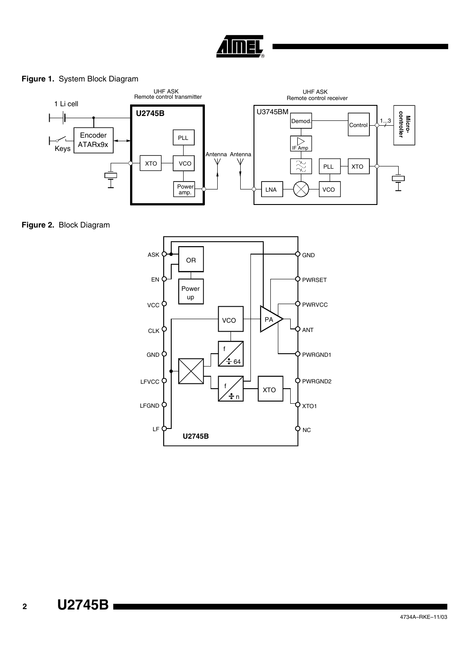

### **Figure 1.** System Block Diagram



**Figure 2.** Block Diagram

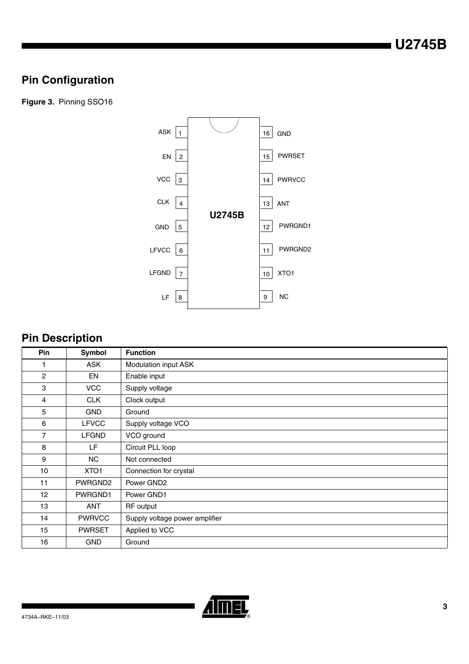# **Pin Configuration**

**Figure 3.** Pinning SSO16



# **Pin Description**

| <b>Pin</b>     | Symbol        | <b>Function</b>                |
|----------------|---------------|--------------------------------|
|                | <b>ASK</b>    | Modulation input ASK           |
| $\overline{2}$ | EN            | Enable input                   |
| 3              | <b>VCC</b>    | Supply voltage                 |
| $\overline{4}$ | <b>CLK</b>    | Clock output                   |
| 5              | <b>GND</b>    | Ground                         |
| 6              | <b>LFVCC</b>  | Supply voltage VCO             |
| $\overline{7}$ | <b>LFGND</b>  | VCO ground                     |
| 8              | LF            | Circuit PLL loop               |
| 9              | <b>NC</b>     | Not connected                  |
| 10             | XTO1          | Connection for crystal         |
| 11             | PWRGND2       | Power GND2                     |
| 12             | PWRGND1       | Power GND1                     |
| 13             | <b>ANT</b>    | RF output                      |
| 14             | <b>PWRVCC</b> | Supply voltage power amplifier |
| 15             | <b>PWRSET</b> | Applied to VCC                 |
| 16             | <b>GND</b>    | Ground                         |

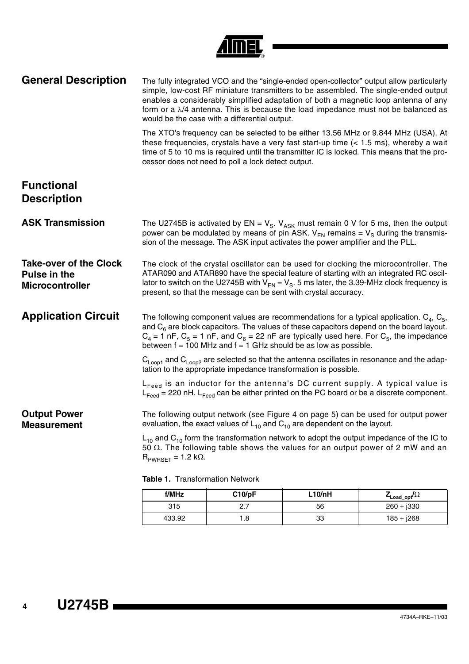| <b>General Description</b>                                              |                                                                                                                                                                                                                                                                                                                                                      | would be the case with a differential output.                                      |        | The fully integrated VCO and the "single-ended open-collector" output allow particularly<br>simple, low-cost RF miniature transmitters to be assembled. The single-ended output<br>enables a considerably simplified adaptation of both a magnetic loop antenna of any<br>form or a $\lambda/4$ antenna. This is because the load impedance must not be balanced as |
|-------------------------------------------------------------------------|------------------------------------------------------------------------------------------------------------------------------------------------------------------------------------------------------------------------------------------------------------------------------------------------------------------------------------------------------|------------------------------------------------------------------------------------|--------|---------------------------------------------------------------------------------------------------------------------------------------------------------------------------------------------------------------------------------------------------------------------------------------------------------------------------------------------------------------------|
|                                                                         |                                                                                                                                                                                                                                                                                                                                                      | cessor does not need to poll a lock detect output.                                 |        | The XTO's frequency can be selected to be either 13.56 MHz or 9.844 MHz (USA). At<br>these frequencies, crystals have a very fast start-up time $(< 1.5 \text{ ms})$ , whereby a wait<br>time of 5 to 10 ms is required until the transmitter IC is locked. This means that the pro-                                                                                |
| <b>Functional</b><br><b>Description</b>                                 |                                                                                                                                                                                                                                                                                                                                                      |                                                                                    |        |                                                                                                                                                                                                                                                                                                                                                                     |
| <b>ASK Transmission</b>                                                 | The U2745B is activated by EN = $V_s$ . $V_{ASK}$ must remain 0 V for 5 ms, then the output<br>power can be modulated by means of pin ASK. $V_{FN}$ remains = $V_{S}$ during the transmis-<br>sion of the message. The ASK input activates the power amplifier and the PLL.                                                                          |                                                                                    |        |                                                                                                                                                                                                                                                                                                                                                                     |
| <b>Take-over of the Clock</b><br>Pulse in the<br><b>Microcontroller</b> | The clock of the crystal oscillator can be used for clocking the microcontroller. The<br>ATAR090 and ATAR890 have the special feature of starting with an integrated RC oscil-<br>lator to switch on the U2745B with $V_{EN} = V_S$ . 5 ms later, the 3.39-MHz clock frequency is<br>present, so that the message can be sent with crystal accuracy. |                                                                                    |        |                                                                                                                                                                                                                                                                                                                                                                     |
| <b>Application Circuit</b>                                              |                                                                                                                                                                                                                                                                                                                                                      | between $f = 100$ MHz and $f = 1$ GHz should be as low as possible.                |        | The following component values are recommendations for a typical application. $C_4$ , $C_5$ ,<br>and $C_6$ are block capacitors. The values of these capacitors depend on the board layout.<br>$C_4$ = 1 nF, $C_5$ = 1 nF, and $C_6$ = 22 nF are typically used here. For $C_5$ , the impedance                                                                     |
|                                                                         |                                                                                                                                                                                                                                                                                                                                                      | tation to the appropriate impedance transformation is possible.                    |        | $C_{\text{Loop1}}$ and $C_{\text{Loop2}}$ are selected so that the antenna oscillates in resonance and the adap-                                                                                                                                                                                                                                                    |
|                                                                         |                                                                                                                                                                                                                                                                                                                                                      |                                                                                    |        | L <sub>Feed</sub> is an inductor for the antenna's DC current supply. A typical value is<br>$L_{\text{feed}}$ = 220 nH. $L_{\text{feed}}$ can be either printed on the PC board or be a discrete component.                                                                                                                                                         |
| <b>Output Power</b><br><b>Measurement</b>                               |                                                                                                                                                                                                                                                                                                                                                      | evaluation, the exact values of $L_{10}$ and $C_{10}$ are dependent on the layout. |        | The following output network (see Figure 4 on page 5) can be used for output power                                                                                                                                                                                                                                                                                  |
|                                                                         | $R_{PWRSET} = 1.2 k\Omega$ .                                                                                                                                                                                                                                                                                                                         |                                                                                    |        | $L_{10}$ and $C_{10}$ form the transformation network to adopt the output impedance of the IC to<br>50 $\Omega$ . The following table shows the values for an output power of 2 mW and an                                                                                                                                                                           |
|                                                                         | Table 1. Transformation Network                                                                                                                                                                                                                                                                                                                      |                                                                                    |        |                                                                                                                                                                                                                                                                                                                                                                     |
|                                                                         | f/MHz                                                                                                                                                                                                                                                                                                                                                | C10/pF                                                                             | L10/nH | $Z_{\textsf{Load\_opt}}/\Omega$                                                                                                                                                                                                                                                                                                                                     |
|                                                                         | 315                                                                                                                                                                                                                                                                                                                                                  | 2.7                                                                                | 56     | $260 + j330$                                                                                                                                                                                                                                                                                                                                                        |

mer

433.92 1.8 33 185 + j268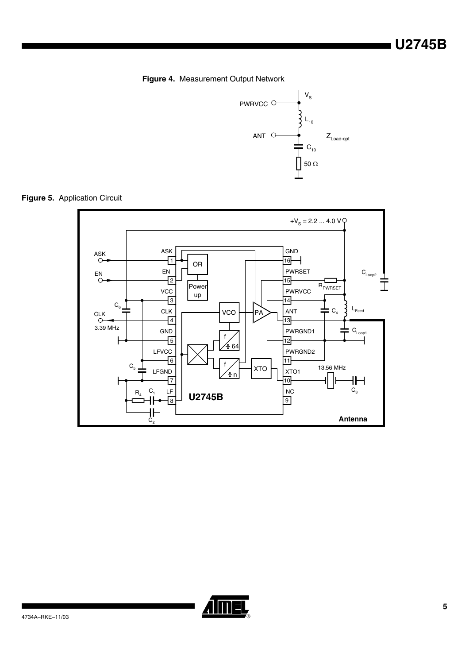<span id="page-4-0"></span>



**Figure 5.** Application Circuit



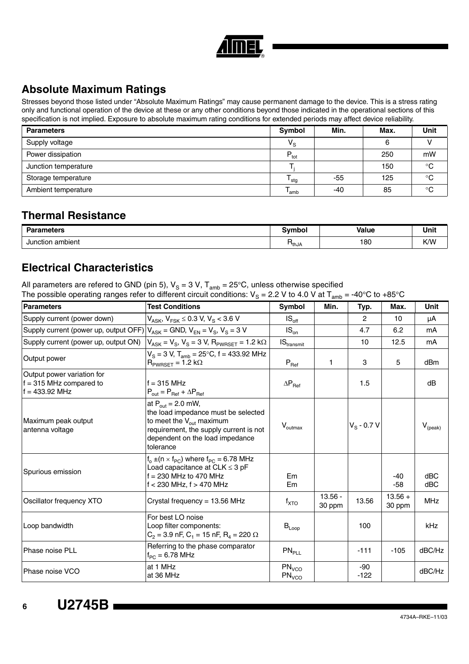

# **Absolute Maximum Ratings**

Stresses beyond those listed under "Absolute Maximum Ratings" may cause permanent damage to the device. This is a stress rating only and functional operation of the device at these or any other conditions beyond those indicated in the operational sections of this specification is not implied. Exposure to absolute maximum rating conditions for extended periods may affect device reliability.

| <b>Parameters</b>    | Symbol           | Min. | Max. | <b>Unit</b> |
|----------------------|------------------|------|------|-------------|
| Supply voltage       | $V_{\rm S}$      |      |      |             |
| Power dissipation    | $P_{\text{tot}}$ |      | 250  | mW          |
| Junction temperature |                  |      | 150  | $^{\circ}C$ |
| Storage temperature  | <sup>I</sup> stg | -55  | 125  | $^{\circ}C$ |
| Ambient temperature  | 'amb             | -40  | 85   | °C          |

## **Thermal Resistance**

| <b>Parameters</b> | <b>Sympa</b>         | Value | .<br>Unit |
|-------------------|----------------------|-------|-----------|
| Junction ambient  | $1 + h + h$<br>'tnJA | 180   | K/W       |

## **Electrical Characteristics**

All parameters are refered to GND (pin 5),  $V_S = 3$  V,  $T_{amb} = 25^{\circ}$ C, unless otherwise specified The possible operating ranges refer to different circuit conditions: V<sub>S</sub> = 2.2 V to 4.0 V at T<sub>amb</sub> = -40°C to +85°C

| <b>Parameters</b>                                                                      | <b>Test Conditions</b>                                                                                                                                                                          | <b>Symbol</b>                          | Min.                | Typ.           | Max.                | <b>Unit</b>      |
|----------------------------------------------------------------------------------------|-------------------------------------------------------------------------------------------------------------------------------------------------------------------------------------------------|----------------------------------------|---------------------|----------------|---------------------|------------------|
| Supply current (power down)                                                            | $V_{ASK}$ , $V_{FSK} \le 0.3$ V, $V_S < 3.6$ V                                                                                                                                                  | $IS_{\text{off}}$                      |                     | $\overline{2}$ | 10                  | μA               |
| Supply current (power up, output OFF) $ V_{ASK}$ = GND, $V_{EN}$ = $V_S$ , $V_S$ = 3 V |                                                                                                                                                                                                 | $IS_{on}$                              |                     | 4.7            | 6.2                 | mA               |
| Supply current (power up, output ON)                                                   | $V_{ASK} = V_S$ , $V_S = 3 V$ , $R_{PWRSET} = 1.2 k\Omega$                                                                                                                                      | $\textsf{IS}_{\text{transmit}}$        |                     | 10             | 12.5                | mA               |
| Output power                                                                           | $V_S = 3 V$ , $T_{amb} = 25^{\circ}C$ , f = 433.92 MHz<br>$R_{PWRSET} = 1.2 k\Omega$                                                                                                            | $P_{\text{Ref}}$                       | 1.                  | 3              | 5                   | dB <sub>m</sub>  |
| Output power variation for<br>$f = 315$ MHz compared to<br>$f = 433.92$ MHz            | $f = 315$ MHz<br>$P_{out} = P_{Ref} + \Delta P_{Ref}$                                                                                                                                           | $\Delta P_{\text{Ref}}$                |                     | 1.5            |                     | dB               |
| Maximum peak output<br>antenna voltage                                                 | at $P_{out}$ = 2.0 mW,<br>the load impedance must be selected<br>to meet the $V_{\text{out}}$ maximum<br>requirement, the supply current is not<br>dependent on the load impedance<br>tolerance | $V_{\text{outmax}}$                    |                     | $V_S$ - 0.7 V  |                     | $V_{\rm (peak)}$ |
| Spurious emission                                                                      | $f_0 \pm (n \times f_{PC})$ where $f_{PC} = 6.78$ MHz<br>Load capacitance at $CLK \leq 3$ pF<br>$f = 230$ MHz to 470 MHz<br>$f < 230$ MHz, $f > 470$ MHz                                        | Em<br>Em                               |                     |                | $-40$<br>$-58$      | dBC<br>dBC       |
| Oscillator frequency XTO                                                               | Crystal frequency = 13.56 MHz                                                                                                                                                                   | $f_{\mathsf{XTO}}$                     | $13.56 -$<br>30 ppm | 13.56          | $13.56 +$<br>30 ppm | <b>MHz</b>       |
| Loop bandwidth                                                                         | For best LO noise<br>Loop filter components:<br>$C_2$ = 3.9 nF, $C_1$ = 15 nF, $R_4$ = 220 $\Omega$                                                                                             | $B_{Loop}$                             |                     | 100            |                     | kHz              |
| Phase noise PLL                                                                        | Referring to the phase comparator<br>$f_{PC} = 6.78$ MHz                                                                                                                                        | PN <sub>PLL</sub>                      |                     | $-111$         | $-105$              | dBC/Hz           |
| Phase noise VCO                                                                        | at 1 MHz<br>at 36 MHz                                                                                                                                                                           | PN <sub>VCO</sub><br>PN <sub>VCO</sub> |                     | -90<br>$-122$  |                     | dBC/Hz           |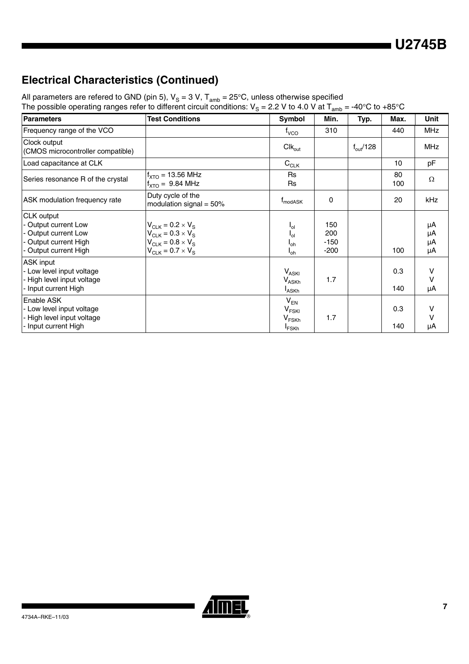# **Electrical Characteristics (Continued)**

All parameters are refered to GND (pin 5),  $V_S = 3$  V,  $T_{amb} = 25^{\circ}$ C, unless otherwise specified The possible operating ranges refer to different circuit conditions: V<sub>S</sub> = 2.2 V to 4.0 V at T<sub>amb</sub> = -40°C to +85°C

| <b>Parameters</b>                                                                                          | <b>Test Conditions</b>                                                                                         | Symbol                                                                             | Min.                           | Typ.                 | Max.             | Unit                 |
|------------------------------------------------------------------------------------------------------------|----------------------------------------------------------------------------------------------------------------|------------------------------------------------------------------------------------|--------------------------------|----------------------|------------------|----------------------|
| Frequency range of the VCO                                                                                 |                                                                                                                | $t_{\rm VCO}$                                                                      | 310                            |                      | 440              | <b>MHz</b>           |
| Clock output<br>(CMOS microcontroller compatible)                                                          |                                                                                                                | $Clk_{out}$                                                                        |                                | $f_{\text{out}}/128$ |                  | <b>MHz</b>           |
| Load capacitance at CLK                                                                                    |                                                                                                                | $C_{CLK}$                                                                          |                                |                      | 10 <sup>10</sup> | pF                   |
| Series resonance R of the crystal                                                                          | $f_{\text{XTO}} = 13.56 \text{ MHz}$<br>$f_{\text{XTO}} = 9.84 \text{ MHz}$                                    | Rs<br><b>Rs</b>                                                                    |                                |                      | 80<br>100        | $\Omega$             |
| ASK modulation frequency rate                                                                              | Duty cycle of the<br>modulation signal = $50\%$                                                                | <b>T</b> <sub>modASK</sub>                                                         | 0                              |                      | 20               | kHz                  |
| CLK output<br>- Output current Low<br>- Output current Low<br>- Output current High<br>Output current High | $V_{CLK}$ = 0.2 × $V_S$<br>$V_{CLK} = 0.3 \times V_S$<br>$V_{CJK} = 0.8 \times V_S$<br>$V_{CLK}$ = 0.7 × $V_S$ | $I_{\text{ol}}$<br>$I_{\text{ol}}$<br>$I_{oh}$<br>$I_{oh}$                         | 150<br>200<br>$-150$<br>$-200$ |                      | 100              | μA<br>μA<br>μA<br>μA |
| ASK input<br>- Low level input voltage<br>- High level input voltage<br>- Input current High               |                                                                                                                | $V_{ASKI}$<br>$V_{ASKh}$<br><sup>I</sup> ASKh                                      | 1.7                            |                      | 0.3<br>140       | v<br>v<br>μA         |
| Enable ASK<br>- Low level input voltage<br>- High level input voltage<br>- Input current High              |                                                                                                                | $V_{EN}$<br>$\mathsf{V}_{\mathsf{FSKI}}$<br>V <sub>FSKh</sub><br><sup>I</sup> FSKh | 1.7                            |                      | 0.3<br>140       | v<br>v<br>μA         |

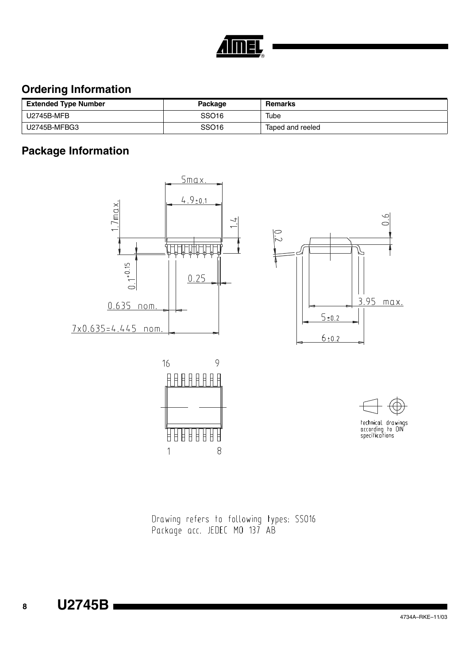

# **Ordering Information**

| <b>Extended Type Number</b> | Package           | Remarks          |
|-----------------------------|-------------------|------------------|
| U2745B-MFB                  | SSO <sub>16</sub> | Tube             |
| U2745B-MFBG3                | SSO <sub>16</sub> | Taped and reeled |

# **Package Information**









technical drawings<br>according to DIN<br>specifications

Drawing refers to following types: SS016<br>Package acc. JEDEC MO 137 AB